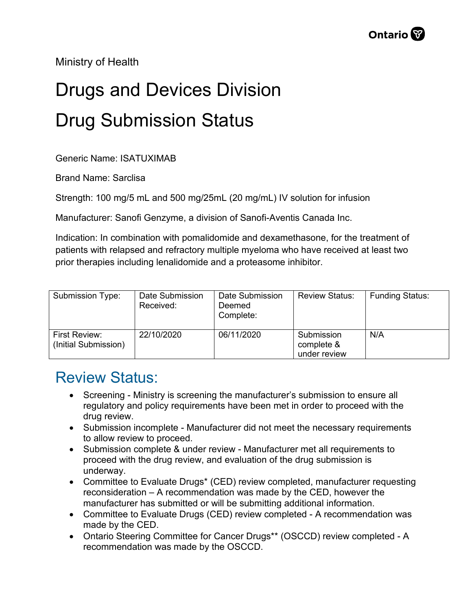Ministry of Health

## Drugs and Devices Division Drug Submission Status

Generic Name: ISATUXIMAB

Brand Name: Sarclisa

Strength: 100 mg/5 mL and 500 mg/25mL (20 mg/mL) IV solution for infusion

Manufacturer: Sanofi Genzyme, a division of Sanofi-Aventis Canada Inc.

Indication: In combination with pomalidomide and dexamethasone, for the treatment of patients with relapsed and refractory multiple myeloma who have received at least two prior therapies including lenalidomide and a proteasome inhibitor.

| Submission Type:                      | Date Submission<br>Received: | Date Submission<br>Deemed<br>Complete: | <b>Review Status:</b>                    | <b>Funding Status:</b> |
|---------------------------------------|------------------------------|----------------------------------------|------------------------------------------|------------------------|
| First Review:<br>(Initial Submission) | 22/10/2020                   | 06/11/2020                             | Submission<br>complete &<br>under review | N/A                    |

## Review Status:

- Screening Ministry is screening the manufacturer's submission to ensure all regulatory and policy requirements have been met in order to proceed with the drug review.
- Submission incomplete Manufacturer did not meet the necessary requirements to allow review to proceed.
- Submission complete & under review Manufacturer met all requirements to proceed with the drug review, and evaluation of the drug submission is underway.
- Committee to Evaluate Drugs\* (CED) review completed, manufacturer requesting reconsideration – A recommendation was made by the CED, however the manufacturer has submitted or will be submitting additional information.
- Committee to Evaluate Drugs (CED) review completed A recommendation was made by the CED.
- Ontario Steering Committee for Cancer Drugs\*\* (OSCCD) review completed A recommendation was made by the OSCCD.